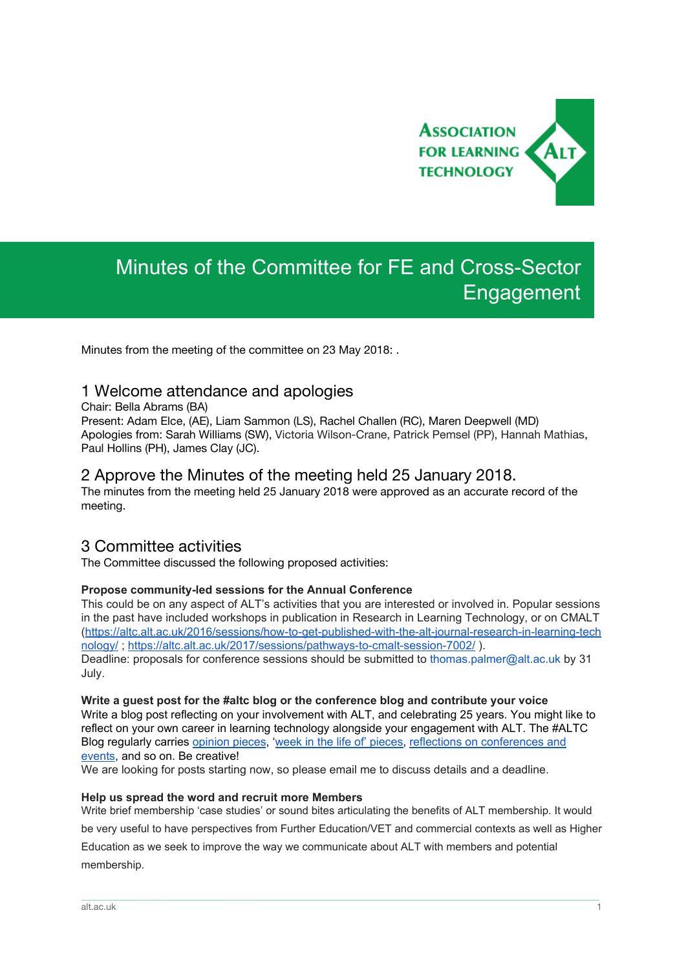

# Minutes of the Committee for FE and Cross-Sector Engagement

Minutes from the meeting of the committee on 23 May 2018: .

## 1 Welcome attendance and apologies

Chair: Bella Abrams (BA)

Present: Adam Elce, (AE), Liam Sammon (LS), Rachel Challen (RC), Maren Deepwell (MD) Apologies from: Sarah Williams (SW), Victoria Wilson-Crane, Patrick Pemsel (PP), Hannah Mathias, Paul Hollins (PH), James Clay (JC).

# 2 Approve the Minutes of the meeting held 25 January 2018.

The minutes from the meeting held 25 January 2018 were approved as an accurate record of the meeting.

## 3 Committee activities

The Committee discussed the following proposed activities:

#### **Propose community-led sessions for the Annual Conference**

This could be on any aspect of ALT's activities that you are interested or involved in. Popular sessions in the past have included workshops in publication in Research in Learning Technology, or on CMALT ([https://altc.alt.ac.uk/2016/sessions/how-to-get-published-with-the-alt-journal-research-in-learning-tech](https://altc.alt.ac.uk/2016/sessions/how-to-get-published-with-the-alt-journal-research-in-learning-technology/) [nology/](https://altc.alt.ac.uk/2016/sessions/how-to-get-published-with-the-alt-journal-research-in-learning-technology/); <https://altc.alt.ac.uk/2017/sessions/pathways-to-cmalt-session-7002/>).

Deadline: proposals for conference sessions should be submitted to thomas.palmer@alt.ac.uk by 31 July.

**Write a guest post for the #altc blog or the conference blog and contribute your voice** Write a blog post reflecting on your involvement with ALT, and celebrating 25 years. You might like to reflect on your own career in learning technology alongside your engagement with ALT. The #ALTC Blog regularly carrie[s](https://altc.alt.ac.uk/blog/category/in-my-opinion/) [opinion](https://altc.alt.ac.uk/blog/category/in-my-opinion/) [pieces,](https://altc.alt.ac.uk/blog/category/a-week-in-the-life-of/) 'week in the life of' pieces, reflections on [conferences](https://altc.alt.ac.uk/blog/category/reviews/conference-reviews/) and [events](https://altc.alt.ac.uk/blog/category/reviews/conference-reviews/), and so on. Be creative!

We are looking for posts starting now, so please email me to discuss details and a deadline.

#### **Help us spread the word and recruit more Members**

Write brief membership 'case studies' or sound bites articulating the benefits of ALT membership. It would be very useful to have perspectives from Further Education/VET and commercial contexts as well as Higher Education as we seek to improve the way we communicate about ALT with members and potential membership.

\_\_\_\_\_\_\_\_\_\_\_\_\_\_\_\_\_\_\_\_\_\_\_\_\_\_\_\_\_\_\_\_\_\_\_\_\_\_\_\_\_\_\_\_\_\_\_\_\_\_\_\_\_\_\_\_\_\_\_\_\_\_\_\_\_\_\_\_\_\_\_\_\_\_\_\_\_\_\_\_\_\_\_\_\_\_\_\_\_\_\_\_\_\_\_\_\_\_\_\_\_\_\_\_\_\_\_\_\_\_\_\_\_\_\_\_\_\_\_\_\_\_\_\_\_\_\_\_\_\_\_\_\_\_\_\_\_\_\_\_\_\_\_\_\_\_\_\_\_\_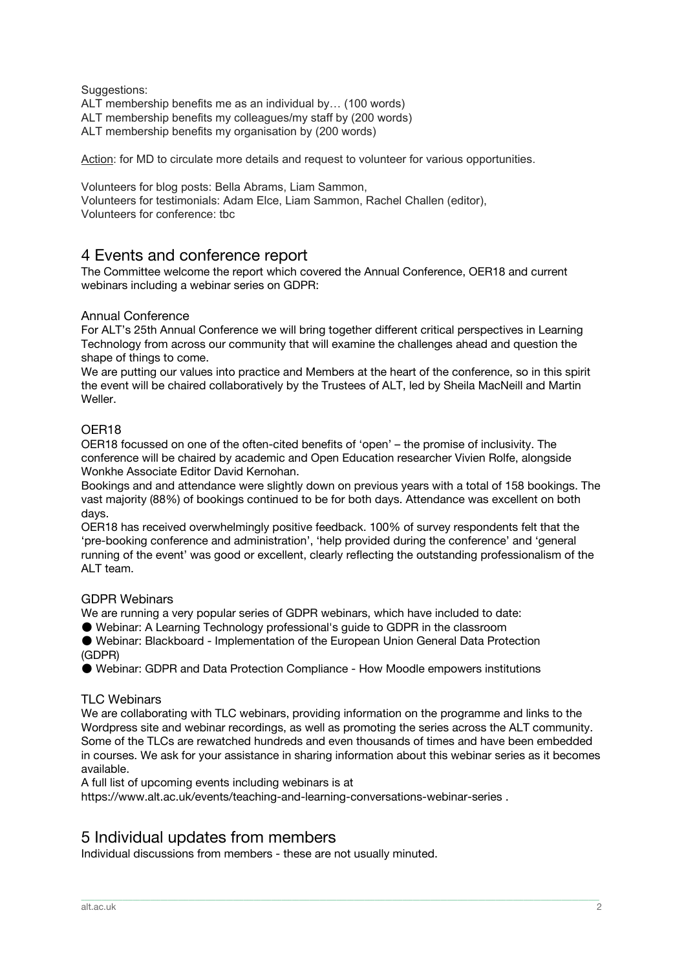#### Suggestions:

ALT membership benefits me as an individual by… (100 words)

ALT membership benefits my colleagues/my staff by (200 words)

ALT membership benefits my organisation by (200 words)

Action: for MD to circulate more details and request to volunteer for various opportunities.

Volunteers for blog posts: Bella Abrams, Liam Sammon, Volunteers for testimonials: Adam Elce, Liam Sammon, Rachel Challen (editor), Volunteers for conference: tbc

## 4 Events and conference report

The Committee welcome the report which covered the Annual Conference, OER18 and current webinars including a webinar series on GDPR:

#### Annual Conference

For ALT's 25th Annual Conference we will bring together different critical perspectives in Learning Technology from across our community that will examine the challenges ahead and question the shape of things to come.

We are putting our values into practice and Members at the heart of the conference, so in this spirit the event will be chaired collaboratively by the Trustees of ALT, led by Sheila MacNeill and Martin Weller.

#### OER18

OER18 focussed on one of the often-cited benefits of 'open' – the promise of inclusivity. The conference will be chaired by academic and Open Education researcher Vivien Rolfe, alongside Wonkhe Associate Editor David Kernohan.

Bookings and and attendance were slightly down on previous years with a total of 158 bookings. The vast majority (88%) of bookings continued to be for both days. Attendance was excellent on both days.

OER18 has received overwhelmingly positive feedback. 100% of survey respondents felt that the 'pre-booking conference and administration', 'help provided during the conference' and 'general running of the event' was good or excellent, clearly reflecting the outstanding professionalism of the ALT team.

#### GDPR Webinars

We are running a very popular series of GDPR webinars, which have included to date:

● Webinar: A Learning Technology professional's guide to GDPR in the classroom

● Webinar: Blackboard - Implementation of the European Union General Data Protection (GDPR)

● Webinar: GDPR and Data Protection Compliance - How Moodle empowers institutions

#### TLC Webinars

We are collaborating with TLC webinars, providing information on the programme and links to the Wordpress site and webinar recordings, as well as promoting the series across the ALT community. Some of the TLCs are rewatched hundreds and even thousands of times and have been embedded in courses. We ask for your assistance in sharing information about this webinar series as it becomes available.

\_\_\_\_\_\_\_\_\_\_\_\_\_\_\_\_\_\_\_\_\_\_\_\_\_\_\_\_\_\_\_\_\_\_\_\_\_\_\_\_\_\_\_\_\_\_\_\_\_\_\_\_\_\_\_\_\_\_\_\_\_\_\_\_\_\_\_\_\_\_\_\_\_\_\_\_\_\_\_\_\_\_\_\_\_\_\_\_\_\_\_\_\_\_\_\_\_\_\_\_\_\_\_\_\_\_\_\_\_\_\_\_\_\_\_\_\_\_\_\_\_\_\_\_\_\_\_\_\_\_\_\_\_\_\_\_\_\_\_\_\_\_\_\_\_\_\_\_\_\_

A full list of upcoming events including webinars is at

https://www.alt.ac.uk/events/teaching-and-learning-conversations-webinar-series .

# 5 Individual updates from members

Individual discussions from members - these are not usually minuted.